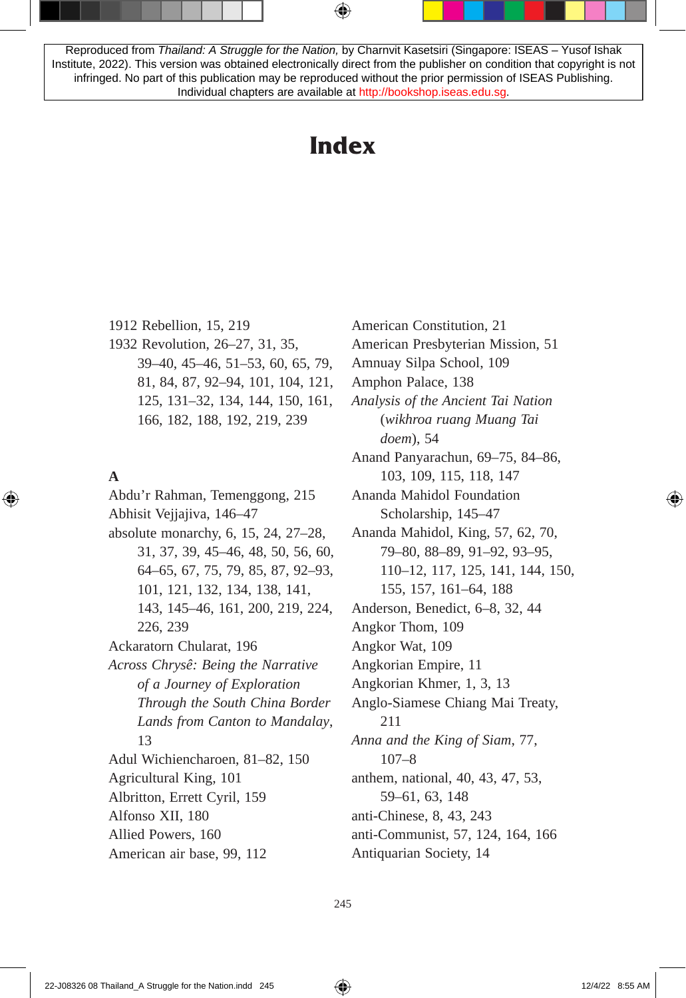Reproduced from *Thailand: A Struggle for the Nation,* by Charnvit Kasetsiri (Singapore: ISEAS – Yusof Ishak Institute, 2022). This version was obtained electronically direct from the publisher on condition that copyright is not infringed. No part of this publication may be reproduced without the prior permission of ISEAS Publishing. Individual chapters are available at [http://bookshop.iseas.edu.sg.](http://bookshop.iseas.edu.sg)

# **Index**

1912 Rebellion, 15, 219 1932 Revolution, 26–27, 31, 35, 39–40, 45–46, 51–53, 60, 65, 79, 81, 84, 87, 92–94, 101, 104, 121, 125, 131–32, 134, 144, 150, 161, 166, 182, 188, 192, 219, 239

## **A**

Abdu'r Rahman, Temenggong, 215 Abhisit Vejjajiva, 146–47 absolute monarchy, 6, 15, 24, 27–28, 31, 37, 39, 45–46, 48, 50, 56, 60, 64–65, 67, 75, 79, 85, 87, 92–93, 101, 121, 132, 134, 138, 141, 143, 145–46, 161, 200, 219, 224, 226, 239 Ackaratorn Chularat, 196 *Across Chrysê: Being the Narrative of a Journey of Exploration Through the South China Border Lands from Canton to Mandalay*, 13 Adul Wichiencharoen, 81–82, 150 Agricultural King, 101 Albritton, Errett Cyril, 159 Alfonso XII, 180 Allied Powers, 160 American air base, 99, 112

American Constitution, 21 American Presbyterian Mission, 51 Amnuay Silpa School, 109 Amphon Palace, 138 *Analysis of the Ancient Tai Nation* (*wikhroa ruang Muang Tai doem*), 54 Anand Panyarachun, 69–75, 84–86, 103, 109, 115, 118, 147 Ananda Mahidol Foundation Scholarship, 145–47 Ananda Mahidol, King, 57, 62, 70, 79–80, 88–89, 91–92, 93–95, 110–12, 117, 125, 141, 144, 150, 155, 157, 161–64, 188 Anderson, Benedict, 6–8, 32, 44 Angkor Thom, 109 Angkor Wat, 109 Angkorian Empire, 11 Angkorian Khmer, 1, 3, 13 Anglo-Siamese Chiang Mai Treaty, 211 *Anna and the King of Siam*, 77, 107–8 anthem, national, 40, 43, 47, 53, 59–61, 63, 148 anti-Chinese, 8, 43, 243 anti-Communist, 57, 124, 164, 166 Antiquarian Society, 14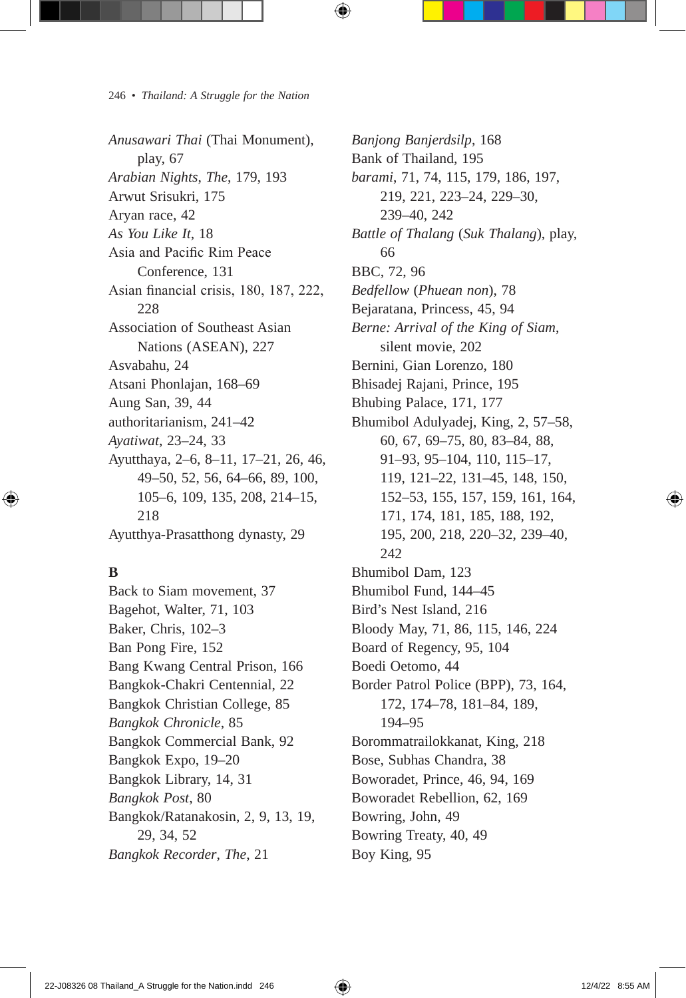*Anusawari Thai* (Thai Monument), play, 67 *Arabian Nights*, *The*, 179, 193 Arwut Srisukri, 175 Aryan race, 42 *As You Like It*, 18 Asia and Pacific Rim Peace Conference, 131 Asian financial crisis, 180, 187, 222, 228 Association of Southeast Asian Nations (ASEAN), 227 Asvabahu, 24 Atsani Phonlajan, 168–69 Aung San, 39, 44 authoritarianism, 241–42 *Ayatiwat*, 23–24, 33 Ayutthaya, 2–6, 8–11, 17–21, 26, 46, 49–50, 52, 56, 64–66, 89, 100, 105–6, 109, 135, 208, 214–15, 218 Ayutthya-Prasatthong dynasty, 29

## **B**

Back to Siam movement, 37 Bagehot, Walter, 71, 103 Baker, Chris, 102–3 Ban Pong Fire, 152 Bang Kwang Central Prison, 166 Bangkok-Chakri Centennial, 22 Bangkok Christian College, 85 *Bangkok Chronicle*, 85 Bangkok Commercial Bank, 92 Bangkok Expo, 19–20 Bangkok Library, 14, 31 *Bangkok Post*, 80 Bangkok/Ratanakosin, 2, 9, 13, 19, 29, 34, 52 *Bangkok Recorder*, *The*, 21

*Banjong Banjerdsilp*, 168 Bank of Thailand, 195 *barami*, 71, 74, 115, 179, 186, 197, 219, 221, 223–24, 229–30, 239–40, 242 *Battle of Thalang* (*Suk Thalang*), play, 66 BBC, 72, 96 *Bedfellow* (*Phuean non*), 78 Bejaratana, Princess, 45, 94 *Berne: Arrival of the King of Siam*, silent movie, 202 Bernini, Gian Lorenzo, 180 Bhisadej Rajani, Prince, 195 Bhubing Palace, 171, 177 Bhumibol Adulyadej, King, 2, 57–58, 60, 67, 69–75, 80, 83–84, 88, 91–93, 95–104, 110, 115–17, 119, 121–22, 131–45, 148, 150, 152–53, 155, 157, 159, 161, 164, 171, 174, 181, 185, 188, 192, 195, 200, 218, 220–32, 239–40, 242 Bhumibol Dam, 123 Bhumibol Fund, 144–45 Bird's Nest Island, 216 Bloody May, 71, 86, 115, 146, 224 Board of Regency, 95, 104 Boedi Oetomo, 44 Border Patrol Police (BPP), 73, 164, 172, 174–78, 181–84, 189, 194–95 Borommatrailokkanat, King, 218 Bose, Subhas Chandra, 38 Boworadet, Prince, 46, 94, 169 Boworadet Rebellion, 62, 169 Bowring, John, 49 Bowring Treaty, 40, 49 Boy King, 95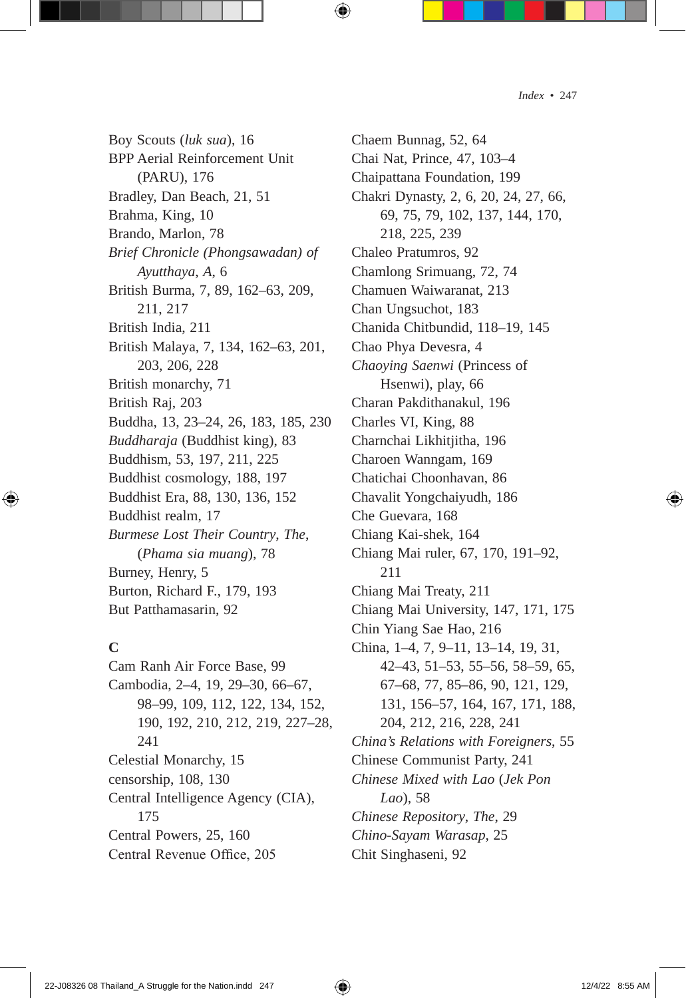Boy Scouts (*luk sua*), 16 BPP Aerial Reinforcement Unit (PARU), 176 Bradley, Dan Beach, 21, 51 Brahma, King, 10 Brando, Marlon, 78 *Brief Chronicle (Phongsawadan) of Ayutthaya*, *A*, 6 British Burma, 7, 89, 162–63, 209, 211, 217 British India, 211 British Malaya, 7, 134, 162–63, 201, 203, 206, 228 British monarchy, 71 British Raj, 203 Buddha, 13, 23–24, 26, 183, 185, 230 *Buddharaja* (Buddhist king), 83 Buddhism, 53, 197, 211, 225 Buddhist cosmology, 188, 197 Buddhist Era, 88, 130, 136, 152 Buddhist realm, 17 *Burmese Lost Their Country*, *The*, (*Phama sia muang*), 78 Burney, Henry, 5 Burton, Richard F., 179, 193 But Patthamasarin, 92

#### **C**

Cam Ranh Air Force Base, 99 Cambodia, 2–4, 19, 29–30, 66–67, 98–99, 109, 112, 122, 134, 152, 190, 192, 210, 212, 219, 227–28, 241 Celestial Monarchy, 15 censorship, 108, 130 Central Intelligence Agency (CIA), 175 Central Powers, 25, 160 Central Revenue Office, 205

Chaem Bunnag, 52, 64 Chai Nat, Prince, 47, 103–4 Chaipattana Foundation, 199 Chakri Dynasty, 2, 6, 20, 24, 27, 66, 69, 75, 79, 102, 137, 144, 170, 218, 225, 239 Chaleo Pratumros, 92 Chamlong Srimuang, 72, 74 Chamuen Waiwaranat, 213 Chan Ungsuchot, 183 Chanida Chitbundid, 118–19, 145 Chao Phya Devesra, 4 *Chaoying Saenwi* (Princess of Hsenwi), play, 66 Charan Pakdithanakul, 196 Charles VI, King, 88 Charnchai Likhitjitha, 196 Charoen Wanngam, 169 Chatichai Choonhavan, 86 Chavalit Yongchaiyudh, 186 Che Guevara, 168 Chiang Kai-shek, 164 Chiang Mai ruler, 67, 170, 191–92, 211 Chiang Mai Treaty, 211 Chiang Mai University, 147, 171, 175 Chin Yiang Sae Hao, 216 China, 1–4, 7, 9–11, 13–14, 19, 31, 42–43, 51–53, 55–56, 58–59, 65, 67–68, 77, 85–86, 90, 121, 129, 131, 156–57, 164, 167, 171, 188, 204, 212, 216, 228, 241 *China's Relations with Foreigners*, 55 Chinese Communist Party, 241 *Chinese Mixed with Lao* (*Jek Pon Lao*), 58 *Chinese Repository*, *The*, 29 *Chino-Sayam Warasap*, 25 Chit Singhaseni, 92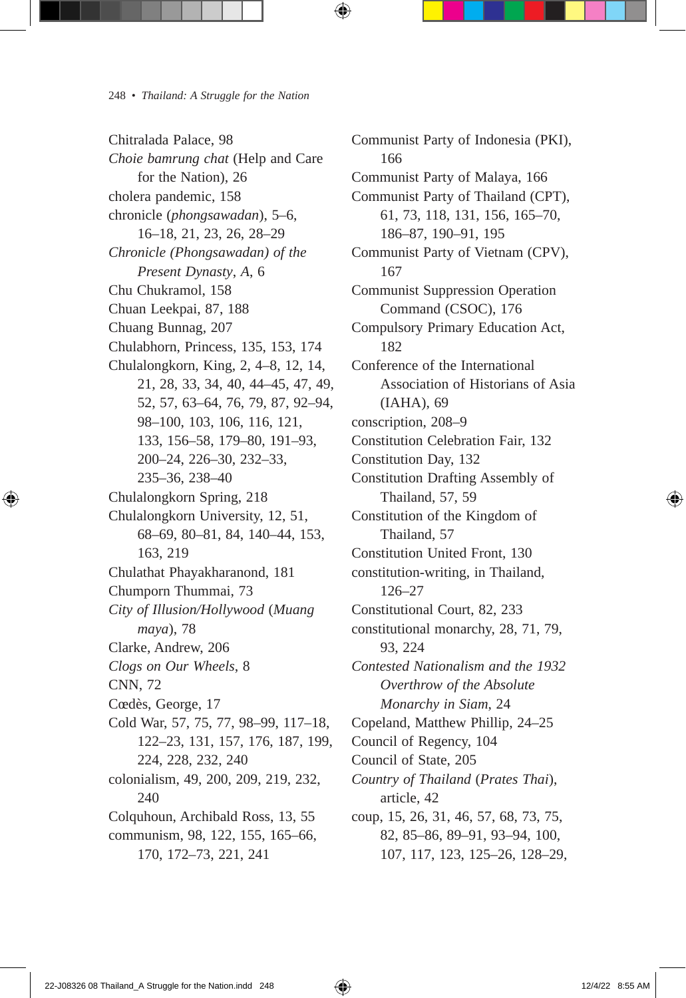Chitralada Palace, 98 *Choie bamrung chat* (Help and Care for the Nation), 26 cholera pandemic, 158 chronicle (*phongsawadan*), 5–6, 16–18, 21, 23, 26, 28–29 *Chronicle (Phongsawadan) of the Present Dynasty*, *A*, 6 Chu Chukramol, 158 Chuan Leekpai, 87, 188 Chuang Bunnag, 207 Chulabhorn, Princess, 135, 153, 174 Chulalongkorn, King, 2, 4–8, 12, 14, 21, 28, 33, 34, 40, 44–45, 47, 49, 52, 57, 63–64, 76, 79, 87, 92–94, 98–100, 103, 106, 116, 121, 133, 156–58, 179–80, 191–93, 200–24, 226–30, 232–33, 235–36, 238–40 Chulalongkorn Spring, 218 Chulalongkorn University, 12, 51, 68–69, 80–81, 84, 140–44, 153, 163, 219 Chulathat Phayakharanond, 181 Chumporn Thummai, 73 *City of Illusion/Hollywood* (*Muang maya*), 78 Clarke, Andrew, 206 *Clogs on Our Wheels*, 8 CNN, 72 Cœdès, George, 17 Cold War, 57, 75, 77, 98–99, 117–18, 122–23, 131, 157, 176, 187, 199, 224, 228, 232, 240 colonialism, 49, 200, 209, 219, 232, 240 Colquhoun, Archibald Ross, 13, 55 communism, 98, 122, 155, 165–66, 170, 172–73, 221, 241

Communist Party of Indonesia (PKI), 166 Communist Party of Malaya, 166 Communist Party of Thailand (CPT), 61, 73, 118, 131, 156, 165–70, 186–87, 190–91, 195 Communist Party of Vietnam (CPV), 167 Communist Suppression Operation Command (CSOC), 176 Compulsory Primary Education Act, 182 Conference of the International Association of Historians of Asia (IAHA), 69 conscription, 208–9 Constitution Celebration Fair, 132 Constitution Day, 132 Constitution Drafting Assembly of Thailand, 57, 59 Constitution of the Kingdom of Thailand, 57 Constitution United Front, 130 constitution-writing, in Thailand, 126–27 Constitutional Court, 82, 233 constitutional monarchy, 28, 71, 79, 93, 224 *Contested Nationalism and the 1932 Overthrow of the Absolute Monarchy in Siam*, 24 Copeland, Matthew Phillip, 24–25 Council of Regency, 104 Council of State, 205 *Country of Thailand* (*Prates Thai*), article, 42 coup, 15, 26, 31, 46, 57, 68, 73, 75, 82, 85–86, 89–91, 93–94, 100, 107, 117, 123, 125–26, 128–29,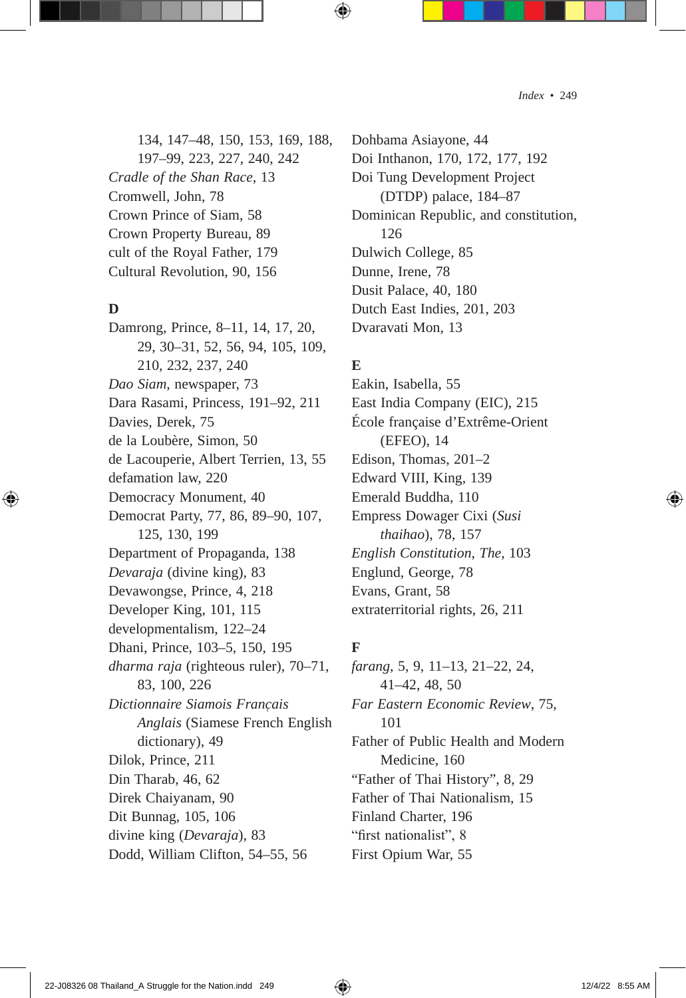134, 147–48, 150, 153, 169, 188, 197–99, 223, 227, 240, 242 *Cradle of the Shan Race*, 13 Cromwell, John, 78 Crown Prince of Siam, 58 Crown Property Bureau, 89 cult of the Royal Father, 179 Cultural Revolution, 90, 156

#### **D**

Damrong, Prince, 8–11, 14, 17, 20, 29, 30–31, 52, 56, 94, 105, 109, 210, 232, 237, 240 *Dao Siam*, newspaper, 73 Dara Rasami, Princess, 191–92, 211 Davies, Derek, 75 de la Loubère, Simon, 50 de Lacouperie, Albert Terrien, 13, 55 defamation law, 220 Democracy Monument, 40 Democrat Party, 77, 86, 89–90, 107, 125, 130, 199 Department of Propaganda, 138 *Devaraja* (divine king), 83 Devawongse, Prince, 4, 218 Developer King, 101, 115 developmentalism, 122–24 Dhani, Prince, 103–5, 150, 195 *dharma raja* (righteous ruler), 70–71, 83, 100, 226 *Dictionnaire Siamois Franc̜ais Anglais* (Siamese French English dictionary), 49 Dilok, Prince, 211 Din Tharab, 46, 62 Direk Chaiyanam, 90 Dit Bunnag, 105, 106 divine king (*Devaraja*), 83 Dodd, William Clifton, 54–55, 56

Dohbama Asiayone, 44 Doi Inthanon, 170, 172, 177, 192 Doi Tung Development Project (DTDP) palace, 184–87 Dominican Republic, and constitution, 126 Dulwich College, 85 Dunne, Irene, 78 Dusit Palace, 40, 180 Dutch East Indies, 201, 203 Dvaravati Mon, 13

## **E**

Eakin, Isabella, 55 East India Company (EIC), 215 École française d'Extrême-Orient (EFEO), 14 Edison, Thomas, 201–2 Edward VIII, King, 139 Emerald Buddha, 110 Empress Dowager Cixi (*Susi thaihao*), 78, 157 *English Constitution*, *The*, 103 Englund, George, 78 Evans, Grant, 58 extraterritorial rights, 26, 211

## **F**

*farang*, 5, 9, 11–13, 21–22, 24, 41–42, 48, 50 *Far Eastern Economic Review*, 75, 101 Father of Public Health and Modern Medicine, 160 "Father of Thai History", 8, 29 Father of Thai Nationalism, 15 Finland Charter, 196 "first nationalist", 8 First Opium War, 55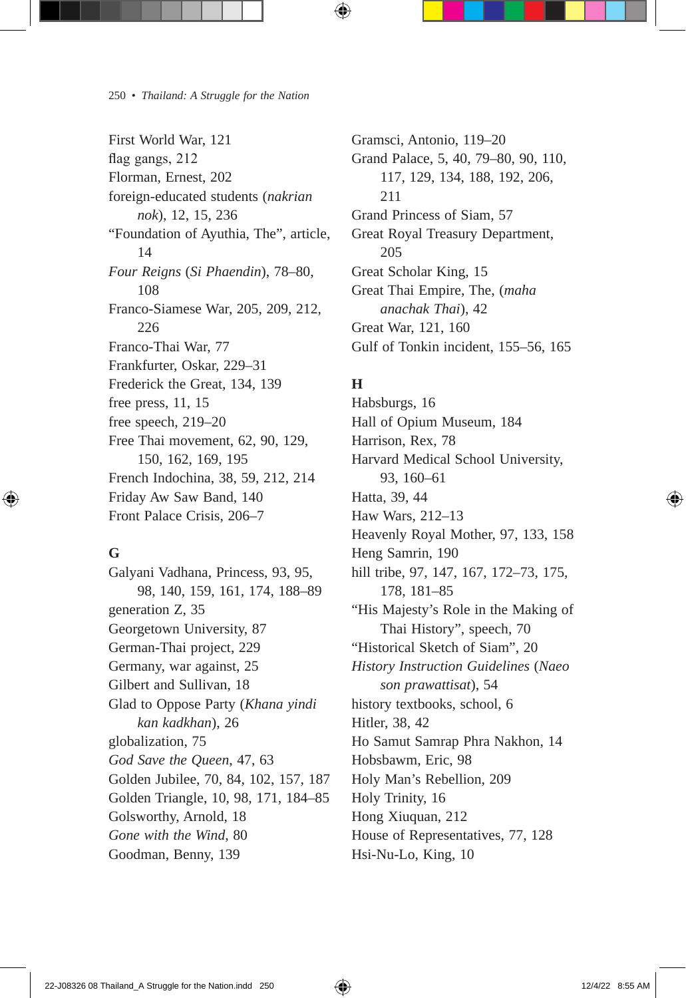First World War, 121 flag gangs, 212 Florman, Ernest, 202 foreign-educated students (*nakrian nok*), 12, 15, 236 "Foundation of Ayuthia, The", article, 14 *Four Reigns* (*Si Phaendin*), 78–80, 108 Franco-Siamese War, 205, 209, 212, 226 Franco-Thai War, 77 Frankfurter, Oskar, 229–31 Frederick the Great, 134, 139 free press, 11, 15 free speech, 219–20 Free Thai movement, 62, 90, 129, 150, 162, 169, 195 French Indochina, 38, 59, 212, 214 Friday Aw Saw Band, 140 Front Palace Crisis, 206–7

## **G**

Galyani Vadhana, Princess, 93, 95, 98, 140, 159, 161, 174, 188–89 generation Z, 35 Georgetown University, 87 German-Thai project, 229 Germany, war against, 25 Gilbert and Sullivan, 18 Glad to Oppose Party (*Khana yindi kan kadkhan*), 26 globalization, 75 *God Save the Queen*, 47, 63 Golden Jubilee, 70, 84, 102, 157, 187 Golden Triangle, 10, 98, 171, 184–85 Golsworthy, Arnold, 18 *Gone with the Wind*, 80 Goodman, Benny, 139

Gramsci, Antonio, 119–20 Grand Palace, 5, 40, 79–80, 90, 110, 117, 129, 134, 188, 192, 206, 211 Grand Princess of Siam, 57 Great Royal Treasury Department, 205 Great Scholar King, 15 Great Thai Empire, The, (*maha anachak Thai*), 42 Great War, 121, 160 Gulf of Tonkin incident, 155–56, 165

## **H**

Habsburgs, 16 Hall of Opium Museum, 184 Harrison, Rex, 78 Harvard Medical School University, 93, 160–61 Hatta, 39, 44 Haw Wars, 212–13 Heavenly Royal Mother, 97, 133, 158 Heng Samrin, 190 hill tribe, 97, 147, 167, 172–73, 175, 178, 181–85 "His Majesty's Role in the Making of Thai History", speech, 70 "Historical Sketch of Siam", 20 *History Instruction Guidelines* (*Naeo son prawattisat*), 54 history textbooks, school, 6 Hitler, 38, 42 Ho Samut Samrap Phra Nakhon, 14 Hobsbawm, Eric, 98 Holy Man's Rebellion, 209 Holy Trinity, 16 Hong Xiuquan, 212 House of Representatives, 77, 128 Hsi-Nu-Lo, King, 10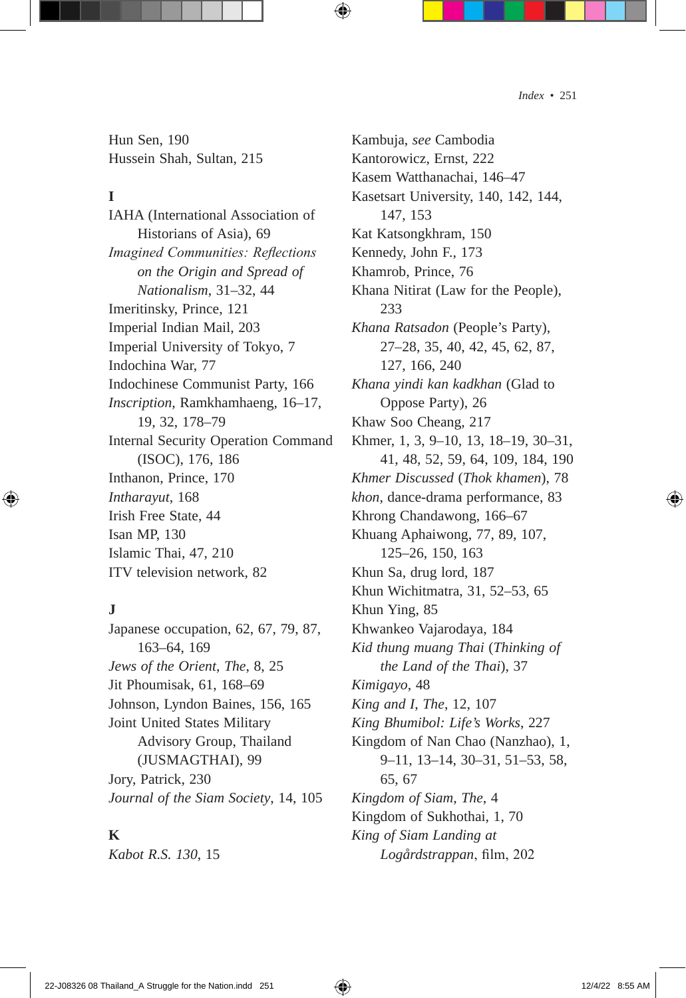Hun Sen, 190 Hussein Shah, Sultan, 215

#### **I**

IAHA (International Association of Historians of Asia), 69 *Imagined Communities: Reflections on the Origin and Spread of Nationalism*, 31–32, 44 Imeritinsky, Prince, 121 Imperial Indian Mail, 203 Imperial University of Tokyo, 7 Indochina War, 77 Indochinese Communist Party, 166 *Inscription*, Ramkhamhaeng, 16–17, 19, 32, 178–79 Internal Security Operation Command (ISOC), 176, 186 Inthanon, Prince, 170 *Intharayut*, 168 Irish Free State, 44 Isan MP, 130 Islamic Thai, 47, 210 ITV television network, 82

## **J**

Japanese occupation, 62, 67, 79, 87, 163–64, 169 *Jews of the Orient*, *The*, 8, 25 Jit Phoumisak, 61, 168–69 Johnson, Lyndon Baines, 156, 165 Joint United States Military Advisory Group, Thailand (JUSMAGTHAI), 99 Jory, Patrick, 230 *Journal of the Siam Society*, 14, 105

#### **K**

*Kabot R.S. 130*, 15

Kambuja, *see* Cambodia Kantorowicz, Ernst, 222 Kasem Watthanachai, 146–47 Kasetsart University, 140, 142, 144, 147, 153 Kat Katsongkhram, 150 Kennedy, John F., 173 Khamrob, Prince, 76 Khana Nitirat (Law for the People), 233 *Khana Ratsadon* (People's Party), 27–28, 35, 40, 42, 45, 62, 87, 127, 166, 240 *Khana yindi kan kadkhan* (Glad to Oppose Party), 26 Khaw Soo Cheang, 217 Khmer, 1, 3, 9–10, 13, 18–19, 30–31, 41, 48, 52, 59, 64, 109, 184, 190 *Khmer Discussed* (*Thok khamen*), 78 *khon*, dance-drama performance, 83 Khrong Chandawong, 166–67 Khuang Aphaiwong, 77, 89, 107, 125–26, 150, 163 Khun Sa, drug lord, 187 Khun Wichitmatra, 31, 52–53, 65 Khun Ying, 85 Khwankeo Vajarodaya, 184 *Kid thung muang Thai* (*Thinking of the Land of the Thai*), 37 *Kimigayo*, 48 *King and I*, *The*, 12, 107 *King Bhumibol: Life's Works*, 227 Kingdom of Nan Chao (Nanzhao), 1, 9–11, 13–14, 30–31, 51–53, 58, 65, 67 *Kingdom of Siam*, *The*, 4 Kingdom of Sukhothai, 1, 70 *King of Siam Landing at* 

*Logårdstrappan*, film, 202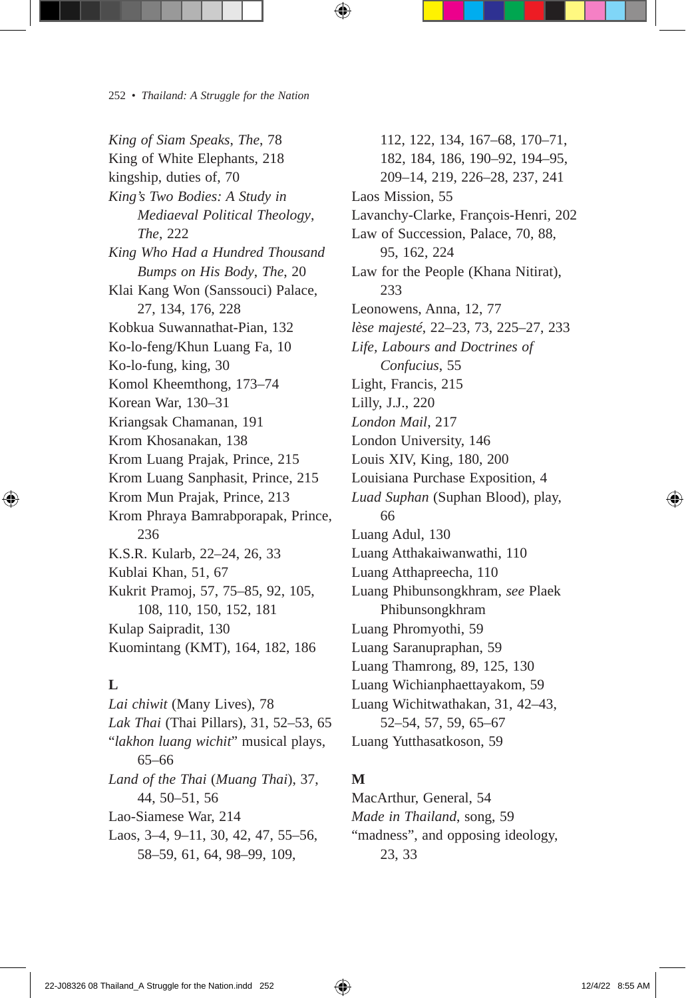*King of Siam Speaks*, *The*, 78 King of White Elephants, 218 kingship, duties of, 70 *King's Two Bodies: A Study in Mediaeval Political Theology*, *The*, 222 *King Who Had a Hundred Thousand Bumps on His Body*, *The*, 20 Klai Kang Won (Sanssouci) Palace, 27, 134, 176, 228 Kobkua Suwannathat-Pian, 132 Ko-lo-feng/Khun Luang Fa, 10 Ko-lo-fung, king, 30 Komol Kheemthong, 173–74 Korean War, 130–31 Kriangsak Chamanan, 191 Krom Khosanakan, 138 Krom Luang Prajak, Prince, 215 Krom Luang Sanphasit, Prince, 215 Krom Mun Prajak, Prince, 213 Krom Phraya Bamrabporapak, Prince, 236 K.S.R. Kularb, 22–24, 26, 33 Kublai Khan, 51, 67 Kukrit Pramoj, 57, 75–85, 92, 105, 108, 110, 150, 152, 181 Kulap Saipradit, 130 Kuomintang (KMT), 164, 182, 186

#### **L**

*Lai chiwit* (Many Lives), 78 *Lak Thai* (Thai Pillars), 31, 52–53, 65 "*lakhon luang wichit*" musical plays, 65–66 *Land of the Thai* (*Muang Thai*), 37, 44, 50–51, 56 Lao-Siamese War, 214 Laos, 3–4, 9–11, 30, 42, 47, 55–56, 58–59, 61, 64, 98–99, 109,

112, 122, 134, 167–68, 170–71, 182, 184, 186, 190–92, 194–95, 209–14, 219, 226–28, 237, 241 Laos Mission, 55 Lavanchy-Clarke, François-Henri, 202 Law of Succession, Palace, 70, 88, 95, 162, 224 Law for the People (Khana Nitirat), 233 Leonowens, Anna, 12, 77 *lèse majesté*, 22–23, 73, 225–27, 233 *Life, Labours and Doctrines of Confucius*, 55 Light, Francis, 215 Lilly, J.J., 220 *London Mail*, 217 London University, 146 Louis XIV, King, 180, 200 Louisiana Purchase Exposition, 4 *Luad Suphan* (Suphan Blood), play, 66 Luang Adul, 130 Luang Atthakaiwanwathi, 110 Luang Atthapreecha, 110 Luang Phibunsongkhram, *see* Plaek Phibunsongkhram Luang Phromyothi, 59 Luang Saranupraphan, 59 Luang Thamrong, 89, 125, 130 Luang Wichianphaettayakom, 59 Luang Wichitwathakan, 31, 42–43, 52–54, 57, 59, 65–67 Luang Yutthasatkoson, 59

#### **M**

MacArthur, General, 54 *Made in Thailand*, song, 59 "madness", and opposing ideology, 23, 33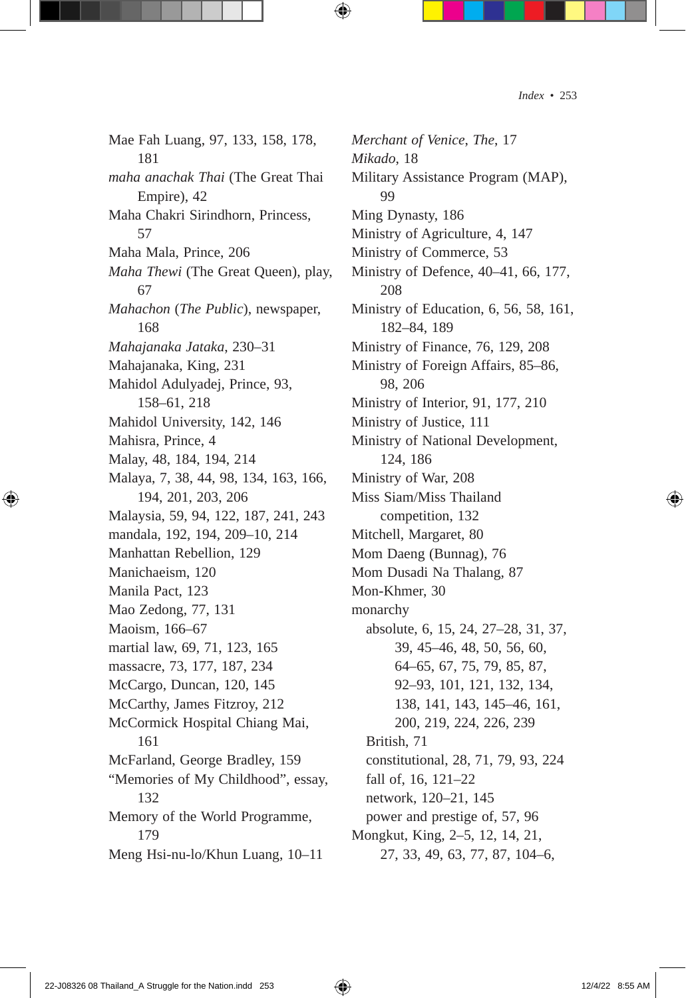Mae Fah Luang, 97, 133, 158, 178, 181 *maha anachak Thai* (The Great Thai Empire), 42 Maha Chakri Sirindhorn, Princess, 57 Maha Mala, Prince, 206 *Maha Thewi* (The Great Queen), play, 67 *Mahachon* (*The Public*), newspaper, 168 *Mahajanaka Jataka*, 230–31 Mahajanaka, King, 231 Mahidol Adulyadej, Prince, 93, 158–61, 218 Mahidol University, 142, 146 Mahisra, Prince, 4 Malay, 48, 184, 194, 214 Malaya, 7, 38, 44, 98, 134, 163, 166, 194, 201, 203, 206 Malaysia, 59, 94, 122, 187, 241, 243 mandala, 192, 194, 209–10, 214 Manhattan Rebellion, 129 Manichaeism, 120 Manila Pact, 123 Mao Zedong, 77, 131 Maoism, 166–67 martial law, 69, 71, 123, 165 massacre, 73, 177, 187, 234 McCargo, Duncan, 120, 145 McCarthy, James Fitzroy, 212 McCormick Hospital Chiang Mai, 161 McFarland, George Bradley, 159 "Memories of My Childhood", essay, 132 Memory of the World Programme, 179 Meng Hsi-nu-lo/Khun Luang, 10–11

*Merchant of Venice*, *The*, 17 *Mikado*, 18 Military Assistance Program (MAP), 99 Ming Dynasty, 186 Ministry of Agriculture, 4, 147 Ministry of Commerce, 53 Ministry of Defence, 40–41, 66, 177, 208 Ministry of Education, 6, 56, 58, 161, 182–84, 189 Ministry of Finance, 76, 129, 208 Ministry of Foreign Affairs, 85–86, 98, 206 Ministry of Interior, 91, 177, 210 Ministry of Justice, 111 Ministry of National Development, 124, 186 Ministry of War, 208 Miss Siam/Miss Thailand competition, 132 Mitchell, Margaret, 80 Mom Daeng (Bunnag), 76 Mom Dusadi Na Thalang, 87 Mon-Khmer, 30 monarchy absolute, 6, 15, 24, 27–28, 31, 37, 39, 45–46, 48, 50, 56, 60, 64–65, 67, 75, 79, 85, 87, 92–93, 101, 121, 132, 134, 138, 141, 143, 145–46, 161, 200, 219, 224, 226, 239 British, 71 constitutional, 28, 71, 79, 93, 224 fall of, 16, 121–22 network, 120–21, 145 power and prestige of, 57, 96 Mongkut, King, 2–5, 12, 14, 21, 27, 33, 49, 63, 77, 87, 104–6,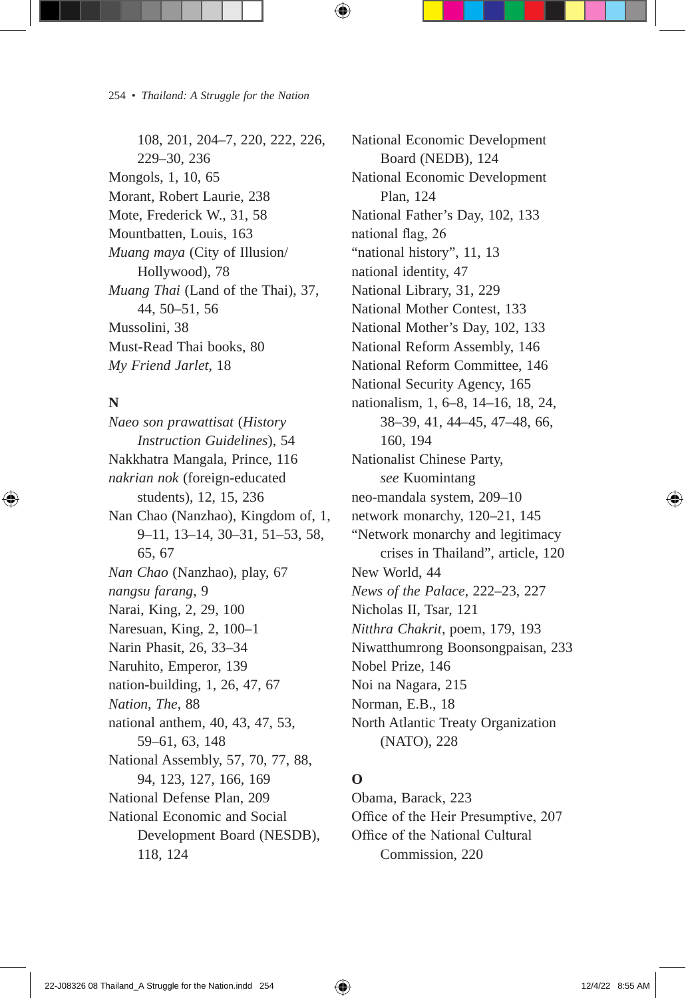108, 201, 204–7, 220, 222, 226, 229–30, 236 Mongols, 1, 10, 65 Morant, Robert Laurie, 238 Mote, Frederick W., 31, 58 Mountbatten, Louis, 163 *Muang maya* (City of Illusion/ Hollywood), 78 *Muang Thai* (Land of the Thai), 37, 44, 50–51, 56 Mussolini, 38 Must-Read Thai books, 80 *My Friend Jarlet*, 18

## **N**

*Naeo son prawattisat* (*History Instruction Guidelines*), 54 Nakkhatra Mangala, Prince, 116 *nakrian nok* (foreign-educated students), 12, 15, 236 Nan Chao (Nanzhao), Kingdom of, 1, 9–11, 13–14, 30–31, 51–53, 58, 65, 67 *Nan Chao* (Nanzhao), play, 67 *nangsu farang*, 9 Narai, King, 2, 29, 100 Naresuan, King, 2, 100–1 Narin Phasit, 26, 33–34 Naruhito, Emperor, 139 nation-building, 1, 26, 47, 67 *Nation*, *The*, 88 national anthem, 40, 43, 47, 53, 59–61, 63, 148 National Assembly, 57, 70, 77, 88, 94, 123, 127, 166, 169 National Defense Plan, 209 National Economic and Social Development Board (NESDB), 118, 124

National Economic Development Board (NEDB), 124 National Economic Development Plan, 124 National Father's Day, 102, 133 national flag, 26 "national history", 11, 13 national identity, 47 National Library, 31, 229 National Mother Contest, 133 National Mother's Day, 102, 133 National Reform Assembly, 146 National Reform Committee, 146 National Security Agency, 165 nationalism, 1, 6–8, 14–16, 18, 24, 38–39, 41, 44–45, 47–48, 66, 160, 194 Nationalist Chinese Party, *see* Kuomintang neo-mandala system, 209–10 network monarchy, 120–21, 145 "Network monarchy and legitimacy crises in Thailand", article, 120 New World, 44 *News of the Palace*, 222–23, 227 Nicholas II, Tsar, 121 *Nitthra Chakrit*, poem, 179, 193 Niwatthumrong Boonsongpaisan, 233 Nobel Prize, 146 Noi na Nagara, 215 Norman, E.B., 18 North Atlantic Treaty Organization (NATO), 228

## **O**

Obama, Barack, 223 Office of the Heir Presumptive, 207 Office of the National Cultural Commission, 220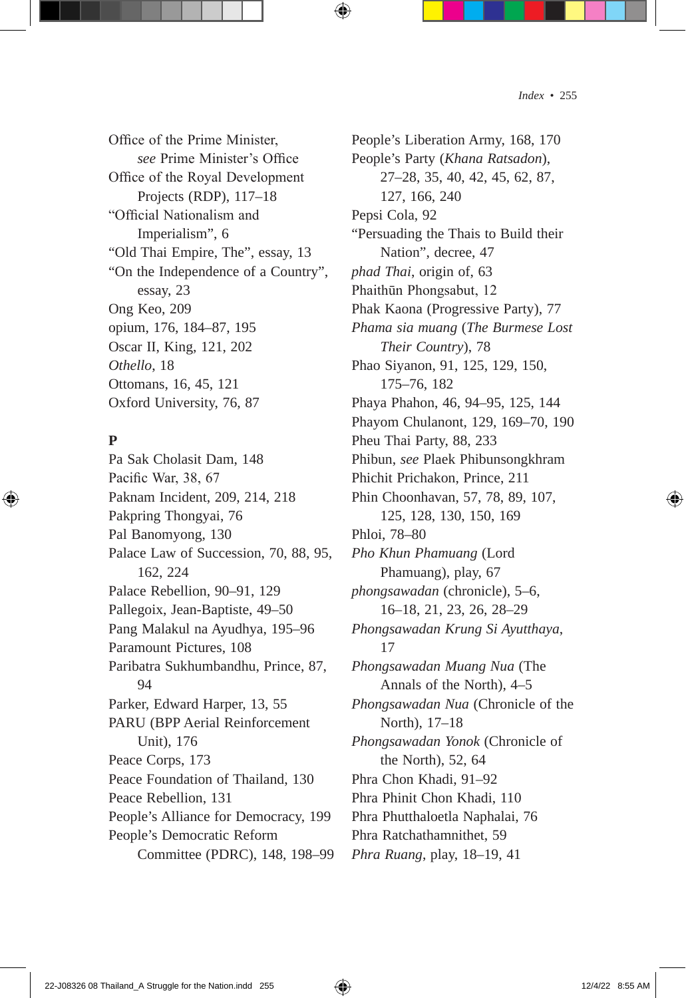Office of the Prime Minister, *see* Prime Minister's Office Office of the Royal Development Projects (RDP), 117–18 "Official Nationalism and Imperialism", 6 "Old Thai Empire, The", essay, 13 "On the Independence of a Country", essay, 23 Ong Keo, 209 opium, 176, 184–87, 195 Oscar II, King, 121, 202 *Othello*, 18 Ottomans, 16, 45, 121 Oxford University, 76, 87

#### **P**

Pa Sak Cholasit Dam, 148 Pacific War, 38, 67 Paknam Incident, 209, 214, 218 Pakpring Thongyai, 76 Pal Banomyong, 130 Palace Law of Succession, 70, 88, 95, 162, 224 Palace Rebellion, 90–91, 129 Pallegoix, Jean-Baptiste, 49–50 Pang Malakul na Ayudhya, 195–96 Paramount Pictures, 108 Paribatra Sukhumbandhu, Prince, 87, 94 Parker, Edward Harper, 13, 55 PARU (BPP Aerial Reinforcement Unit), 176 Peace Corps, 173 Peace Foundation of Thailand, 130 Peace Rebellion, 131 People's Alliance for Democracy, 199 People's Democratic Reform Committee (PDRC), 148, 198–99

People's Liberation Army, 168, 170 People's Party (*Khana Ratsadon*), 27–28, 35, 40, 42, 45, 62, 87, 127, 166, 240 Pepsi Cola, 92 "Persuading the Thais to Build their Nation", decree, 47 *phad Thai*, origin of, 63 Phaithūn Phongsabut, 12 Phak Kaona (Progressive Party), 77 *Phama sia muang* (*The Burmese Lost Their Country*), 78 Phao Siyanon, 91, 125, 129, 150, 175–76, 182 Phaya Phahon, 46, 94–95, 125, 144 Phayom Chulanont, 129, 169–70, 190 Pheu Thai Party, 88, 233 Phibun, *see* Plaek Phibunsongkhram Phichit Prichakon, Prince, 211 Phin Choonhavan, 57, 78, 89, 107, 125, 128, 130, 150, 169 Phloi, 78–80 *Pho Khun Phamuang* (Lord Phamuang), play, 67 *phongsawadan* (chronicle), 5–6, 16–18, 21, 23, 26, 28–29 *Phongsawadan Krung Si Ayutthaya*, 17 *Phongsawadan Muang Nua* (The Annals of the North), 4–5 *Phongsawadan Nua* (Chronicle of the North), 17–18 *Phongsawadan Yonok* (Chronicle of the North), 52, 64 Phra Chon Khadi, 91–92 Phra Phinit Chon Khadi, 110 Phra Phutthaloetla Naphalai, 76 Phra Ratchathamnithet, 59 *Phra Ruang*, play, 18–19, 41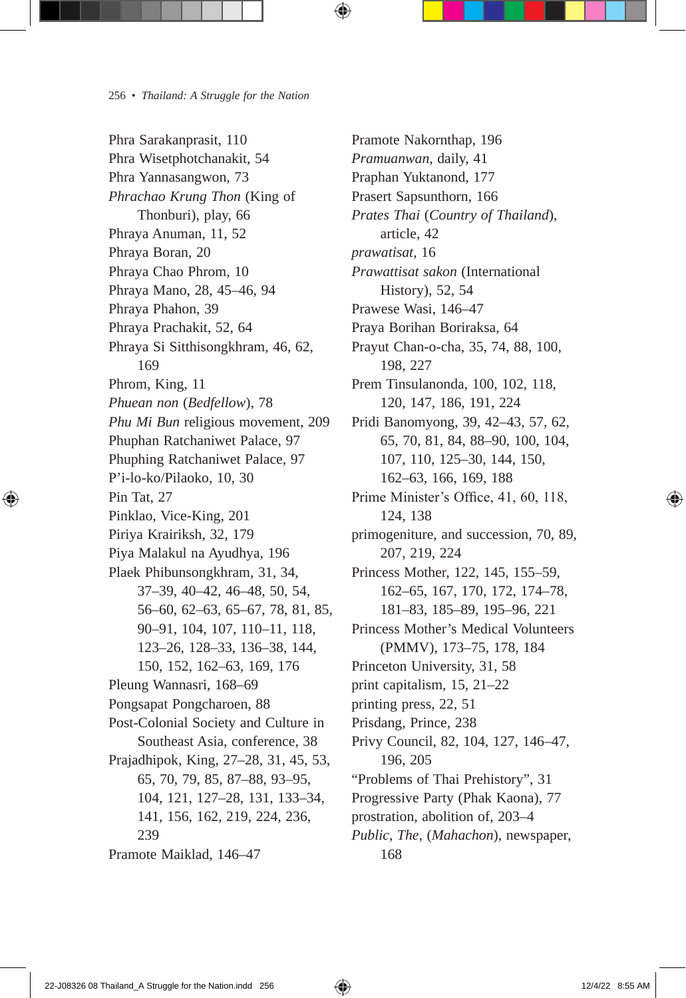Phra Sarakanprasit, 110 Phra Wisetphotchanakit, 54 Phra Yannasangwon, 73 *Phrachao Krung Thon* (King of Thonburi), play, 66 Phraya Anuman, 11, 52 Phraya Boran, 20 Phraya Chao Phrom, 10 Phraya Mano, 28, 45–46, 94 Phraya Phahon, 39 Phraya Prachakit, 52, 64 Phraya Si Sitthisongkhram, 46, 62, 169 Phrom, King, 11 *Phuean non* (*Bedfellow*), 78 *Phu Mi Bun* religious movement, 209 Phuphan Ratchaniwet Palace, 97 Phuphing Ratchaniwet Palace, 97 P'i-lo-ko/Pilaoko, 10, 30 Pin Tat, 27 Pinklao, Vice-King, 201 Piriya Krairiksh, 32, 179 Piya Malakul na Ayudhya, 196 Plaek Phibunsongkhram, 31, 34, 37–39, 40–42, 46–48, 50, 54, 56–60, 62–63, 65–67, 78, 81, 85, 90–91, 104, 107, 110–11, 118, 123–26, 128–33, 136–38, 144, 150, 152, 162–63, 169, 176 Pleung Wannasri, 168–69 Pongsapat Pongcharoen, 88 Post-Colonial Society and Culture in Southeast Asia, conference, 38 Prajadhipok, King, 27–28, 31, 45, 53, 65, 70, 79, 85, 87–88, 93–95, 104, 121, 127–28, 131, 133–34, 141, 156, 162, 219, 224, 236, 239 Pramote Maiklad, 146–47

Pramote Nakornthap, 196 *Pramuanwan*, daily, 41 Praphan Yuktanond, 177 Prasert Sapsunthorn, 166 *Prates Thai* (*Country of Thailand*), article, 42 *prawatisat*, 16 *Prawattisat sakon* (International History), 52, 54 Prawese Wasi, 146–47 Praya Borihan Boriraksa, 64 Prayut Chan-o-cha, 35, 74, 88, 100, 198, 227 Prem Tinsulanonda, 100, 102, 118, 120, 147, 186, 191, 224 Pridi Banomyong, 39, 42–43, 57, 62, 65, 70, 81, 84, 88–90, 100, 104, 107, 110, 125–30, 144, 150, 162–63, 166, 169, 188 Prime Minister's Office, 41, 60, 118, 124, 138 primogeniture, and succession, 70, 89, 207, 219, 224 Princess Mother, 122, 145, 155–59, 162–65, 167, 170, 172, 174–78, 181–83, 185–89, 195–96, 221 Princess Mother's Medical Volunteers (PMMV), 173–75, 178, 184 Princeton University, 31, 58 print capitalism, 15, 21–22 printing press, 22, 51 Prisdang, Prince, 238 Privy Council, 82, 104, 127, 146–47, 196, 205 "Problems of Thai Prehistory", 31 Progressive Party (Phak Kaona), 77 prostration, abolition of, 203–4 *Public*, *The*, (*Mahachon*), newspaper, 168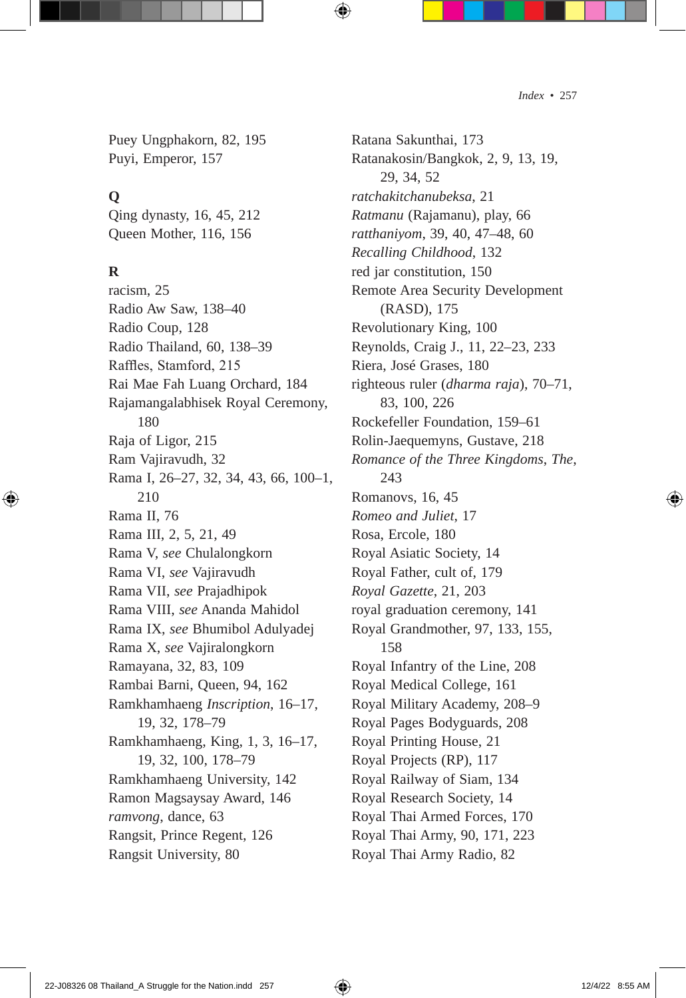Puey Ungphakorn, 82, 195 Puyi, Emperor, 157

#### **Q**

Qing dynasty, 16, 45, 212 Queen Mother, 116, 156

#### **R**

racism, 25 Radio Aw Saw, 138–40 Radio Coup, 128 Radio Thailand, 60, 138–39 Raffles, Stamford, 215 Rai Mae Fah Luang Orchard, 184 Rajamangalabhisek Royal Ceremony, 180 Raja of Ligor, 215 Ram Vajiravudh, 32 Rama I, 26–27, 32, 34, 43, 66, 100–1, 210 Rama II, 76 Rama III, 2, 5, 21, 49 Rama V, *see* Chulalongkorn Rama VI, *see* Vajiravudh Rama VII, *see* Prajadhipok Rama VIII, *see* Ananda Mahidol Rama IX, *see* Bhumibol Adulyadej Rama X, *see* Vajiralongkorn Ramayana, 32, 83, 109 Rambai Barni, Queen, 94, 162 Ramkhamhaeng *Inscription*, 16–17, 19, 32, 178–79 Ramkhamhaeng, King, 1, 3, 16–17, 19, 32, 100, 178–79 Ramkhamhaeng University, 142 Ramon Magsaysay Award, 146 *ramvong*, dance, 63 Rangsit, Prince Regent, 126 Rangsit University, 80

Ratana Sakunthai, 173 Ratanakosin/Bangkok, 2, 9, 13, 19, 29, 34, 52 *ratchakitchanubeksa*, 21 *Ratmanu* (Rajamanu), play, 66 *ratthaniyom*, 39, 40, 47–48, 60 *Recalling Childhood*, 132 red jar constitution, 150 Remote Area Security Development (RASD), 175 Revolutionary King, 100 Reynolds, Craig J., 11, 22–23, 233 Riera, José Grases, 180 righteous ruler (*dharma raja*), 70–71, 83, 100, 226 Rockefeller Foundation, 159–61 Rolin-Jaequemyns, Gustave, 218 *Romance of the Three Kingdoms*, *The*, 243 Romanovs, 16, 45 *Romeo and Juliet*, 17 Rosa, Ercole, 180 Royal Asiatic Society, 14 Royal Father, cult of, 179 *Royal Gazette*, 21, 203 royal graduation ceremony, 141 Royal Grandmother, 97, 133, 155, 158 Royal Infantry of the Line, 208 Royal Medical College, 161 Royal Military Academy, 208–9 Royal Pages Bodyguards, 208 Royal Printing House, 21 Royal Projects (RP), 117 Royal Railway of Siam, 134 Royal Research Society, 14 Royal Thai Armed Forces, 170 Royal Thai Army, 90, 171, 223 Royal Thai Army Radio, 82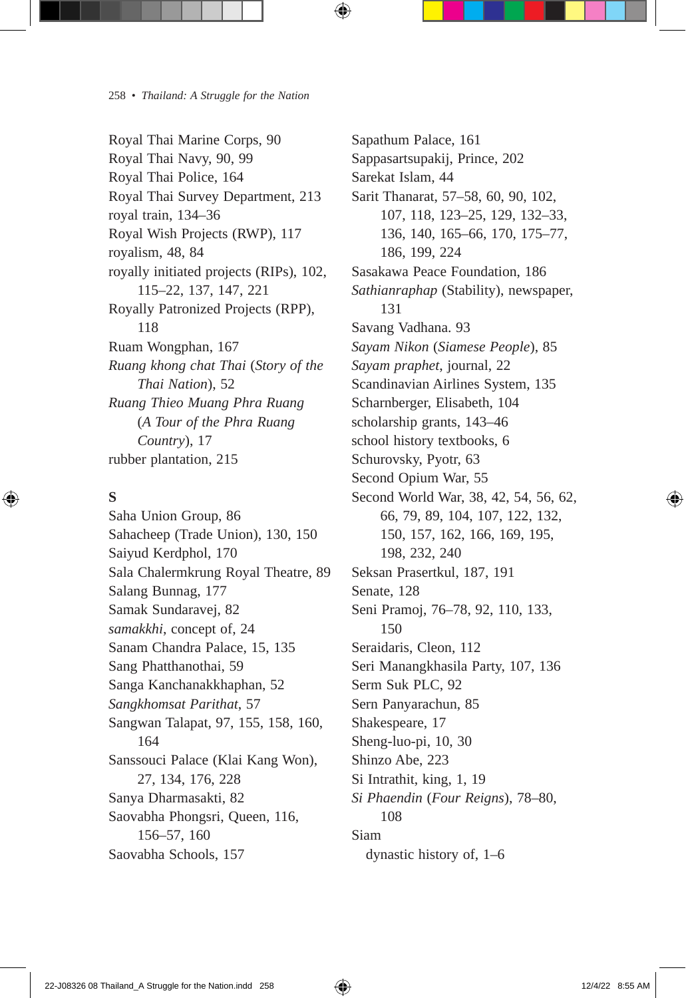Royal Thai Marine Corps, 90 Royal Thai Navy, 90, 99 Royal Thai Police, 164 Royal Thai Survey Department, 213 royal train, 134–36 Royal Wish Projects (RWP), 117 royalism, 48, 84 royally initiated projects (RIPs), 102, 115–22, 137, 147, 221 Royally Patronized Projects (RPP), 118 Ruam Wongphan, 167 *Ruang khong chat Thai* (*Story of the Thai Nation*), 52 *Ruang Thieo Muang Phra Ruang* (*A Tour of the Phra Ruang Country*), 17 rubber plantation, 215

## **S**

Saha Union Group, 86 Sahacheep (Trade Union), 130, 150 Saiyud Kerdphol, 170 Sala Chalermkrung Royal Theatre, 89 Salang Bunnag, 177 Samak Sundaravej, 82 *samakkhi*, concept of, 24 Sanam Chandra Palace, 15, 135 Sang Phatthanothai, 59 Sanga Kanchanakkhaphan, 52 *Sangkhomsat Parithat*, 57 Sangwan Talapat, 97, 155, 158, 160, 164 Sanssouci Palace (Klai Kang Won), 27, 134, 176, 228 Sanya Dharmasakti, 82 Saovabha Phongsri, Queen, 116, 156–57, 160 Saovabha Schools, 157

Sapathum Palace, 161 Sappasartsupakij, Prince, 202 Sarekat Islam, 44 Sarit Thanarat, 57–58, 60, 90, 102, 107, 118, 123–25, 129, 132–33, 136, 140, 165–66, 170, 175–77, 186, 199, 224 Sasakawa Peace Foundation, 186 *Sathianraphap* (Stability), newspaper, 131 Savang Vadhana. 93 *Sayam Nikon* (*Siamese People*), 85 *Sayam praphet*, journal, 22 Scandinavian Airlines System, 135 Scharnberger, Elisabeth, 104 scholarship grants, 143–46 school history textbooks, 6 Schurovsky, Pyotr, 63 Second Opium War, 55 Second World War, 38, 42, 54, 56, 62, 66, 79, 89, 104, 107, 122, 132, 150, 157, 162, 166, 169, 195, 198, 232, 240 Seksan Prasertkul, 187, 191 Senate, 128 Seni Pramoj, 76–78, 92, 110, 133, 150 Seraidaris, Cleon, 112 Seri Manangkhasila Party, 107, 136 Serm Suk PLC, 92 Sern Panyarachun, 85 Shakespeare, 17 Sheng-luo-pi, 10, 30 Shinzo Abe, 223 Si Intrathit, king, 1, 19 *Si Phaendin* (*Four Reigns*), 78–80, 108 Siam dynastic history of, 1–6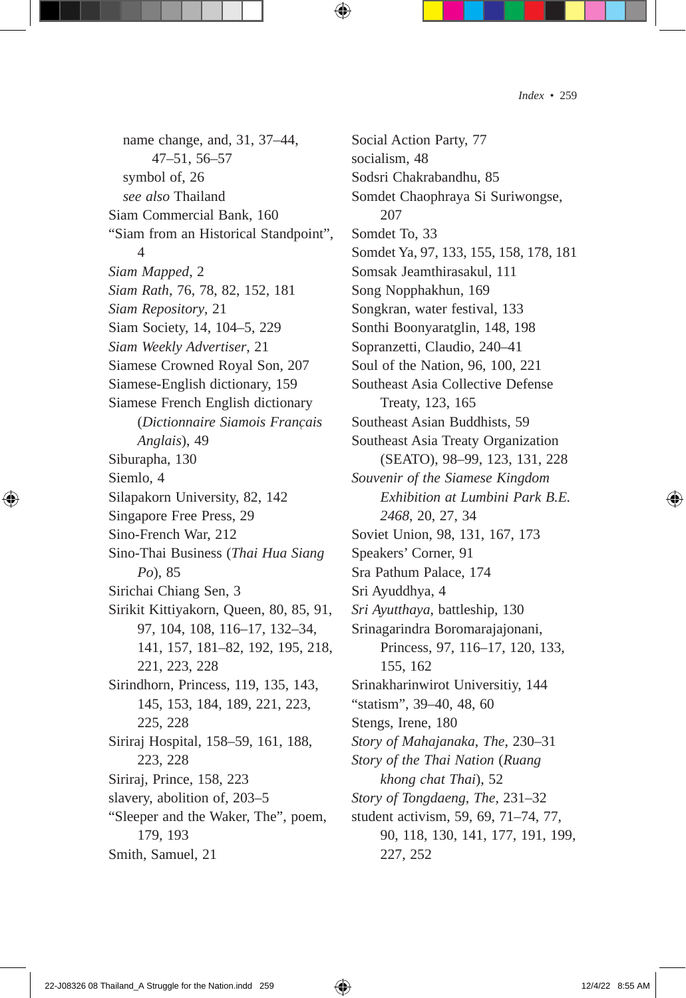name change, and, 31, 37–44, 47–51, 56–57 symbol of, 26 *see also* Thailand Siam Commercial Bank, 160 "Siam from an Historical Standpoint", 4 *Siam Mapped*, 2 *Siam Rath*, 76, 78, 82, 152, 181 *Siam Repository*, 21 Siam Society, 14, 104–5, 229 *Siam Weekly Advertiser*, 21 Siamese Crowned Royal Son, 207 Siamese-English dictionary, 159 Siamese French English dictionary (*Dictionnaire Siamois Franc̜ais Anglais*), 49 Siburapha, 130 Siemlo, 4 Silapakorn University, 82, 142 Singapore Free Press, 29 Sino-French War, 212 Sino-Thai Business (*Thai Hua Siang Po*), 85 Sirichai Chiang Sen, 3 Sirikit Kittiyakorn, Queen, 80, 85, 91, 97, 104, 108, 116–17, 132–34, 141, 157, 181–82, 192, 195, 218, 221, 223, 228 Sirindhorn, Princess, 119, 135, 143, 145, 153, 184, 189, 221, 223, 225, 228 Siriraj Hospital, 158–59, 161, 188, 223, 228 Siriraj, Prince, 158, 223 slavery, abolition of, 203–5 "Sleeper and the Waker, The", poem, 179, 193 Smith, Samuel, 21

Social Action Party, 77 socialism, 48 Sodsri Chakrabandhu, 85 Somdet Chaophraya Si Suriwongse, 207 Somdet To, 33 Somdet Ya, 97, 133, 155, 158, 178, 181 Somsak Jeamthirasakul, 111 Song Nopphakhun, 169 Songkran, water festival, 133 Sonthi Boonyaratglin, 148, 198 Sopranzetti, Claudio, 240–41 Soul of the Nation, 96, 100, 221 Southeast Asia Collective Defense Treaty, 123, 165 Southeast Asian Buddhists, 59 Southeast Asia Treaty Organization (SEATO), 98–99, 123, 131, 228 *Souvenir of the Siamese Kingdom Exhibition at Lumbini Park B.E. 2468*, 20, 27, 34 Soviet Union, 98, 131, 167, 173 Speakers' Corner, 91 Sra Pathum Palace, 174 Sri Ayuddhya, 4 *Sri Ayutthaya*, battleship, 130 Srinagarindra Boromarajajonani, Princess, 97, 116–17, 120, 133, 155, 162 Srinakharinwirot Universitiy, 144 "statism", 39–40, 48, 60 Stengs, Irene, 180 *Story of Mahajanaka*, *The*, 230–31 *Story of the Thai Nation* (*Ruang khong chat Thai*), 52 *Story of Tongdaeng*, *The*, 231–32 student activism, 59, 69, 71–74, 77, 90, 118, 130, 141, 177, 191, 199, 227, 252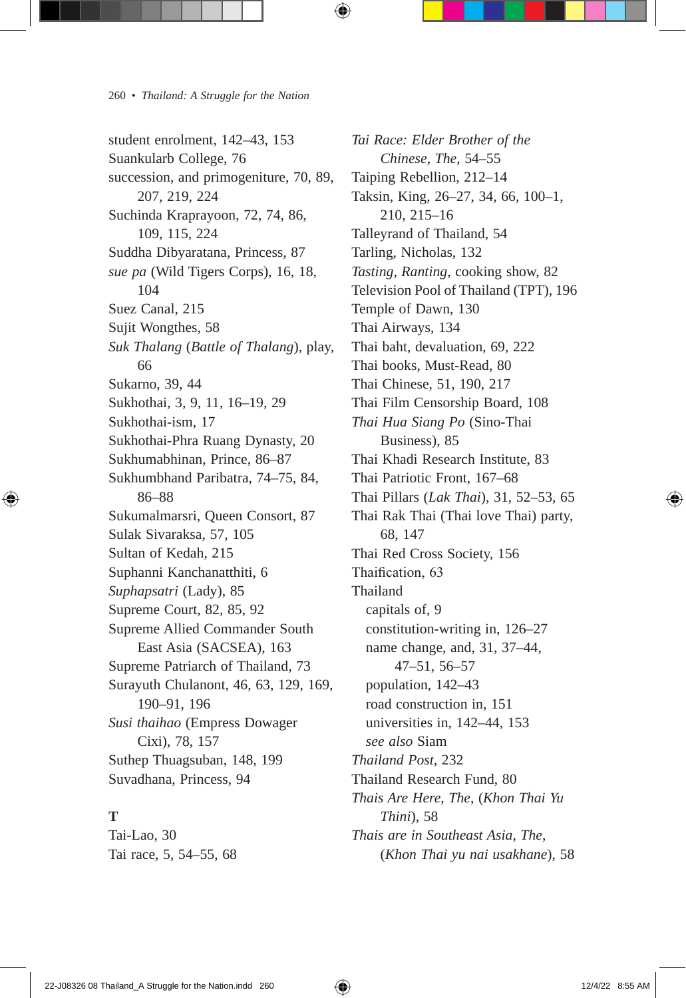student enrolment, 142–43, 153 Suankularb College, 76 succession, and primogeniture, 70, 89, 207, 219, 224 Suchinda Kraprayoon, 72, 74, 86, 109, 115, 224 Suddha Dibyaratana, Princess, 87 *sue pa* (Wild Tigers Corps), 16, 18, 104 Suez Canal, 215 Sujit Wongthes, 58 *Suk Thalang* (*Battle of Thalang*), play, 66 Sukarno, 39, 44 Sukhothai, 3, 9, 11, 16–19, 29 Sukhothai-ism, 17 Sukhothai-Phra Ruang Dynasty, 20 Sukhumabhinan, Prince, 86–87 Sukhumbhand Paribatra, 74–75, 84, 86–88 Sukumalmarsri, Queen Consort, 87 Sulak Sivaraksa, 57, 105 Sultan of Kedah, 215 Suphanni Kanchanatthiti, 6 *Suphapsatri* (Lady), 85 Supreme Court, 82, 85, 92 Supreme Allied Commander South East Asia (SACSEA), 163 Supreme Patriarch of Thailand, 73 Surayuth Chulanont, 46, 63, 129, 169, 190–91, 196 *Susi thaihao* (Empress Dowager Cixi), 78, 157 Suthep Thuagsuban, 148, 199 Suvadhana, Princess, 94

## **T**

Tai-Lao, 30 Tai race, 5, 54–55, 68

*Tai Race: Elder Brother of the Chinese*, *The*, 54–55 Taiping Rebellion, 212–14 Taksin, King, 26–27, 34, 66, 100–1, 210, 215–16 Talleyrand of Thailand, 54 Tarling, Nicholas, 132 *Tasting, Ranting*, cooking show, 82 Television Pool of Thailand (TPT), 196 Temple of Dawn, 130 Thai Airways, 134 Thai baht, devaluation, 69, 222 Thai books, Must-Read, 80 Thai Chinese, 51, 190, 217 Thai Film Censorship Board, 108 *Thai Hua Siang Po* (Sino-Thai Business), 85 Thai Khadi Research Institute, 83 Thai Patriotic Front, 167–68 Thai Pillars (*Lak Thai*), 31, 52–53, 65 Thai Rak Thai (Thai love Thai) party, 68, 147 Thai Red Cross Society, 156 Thaification, 63 Thailand capitals of, 9 constitution-writing in, 126–27 name change, and, 31, 37–44, 47–51, 56–57 population, 142–43 road construction in, 151 universities in, 142–44, 153 *see also* Siam *Thailand Post*, 232 Thailand Research Fund, 80 *Thais Are Here*, *The*, (*Khon Thai Yu Thini*), 58 *Thais are in Southeast Asia*, *The*, (*Khon Thai yu nai usakhane*), 58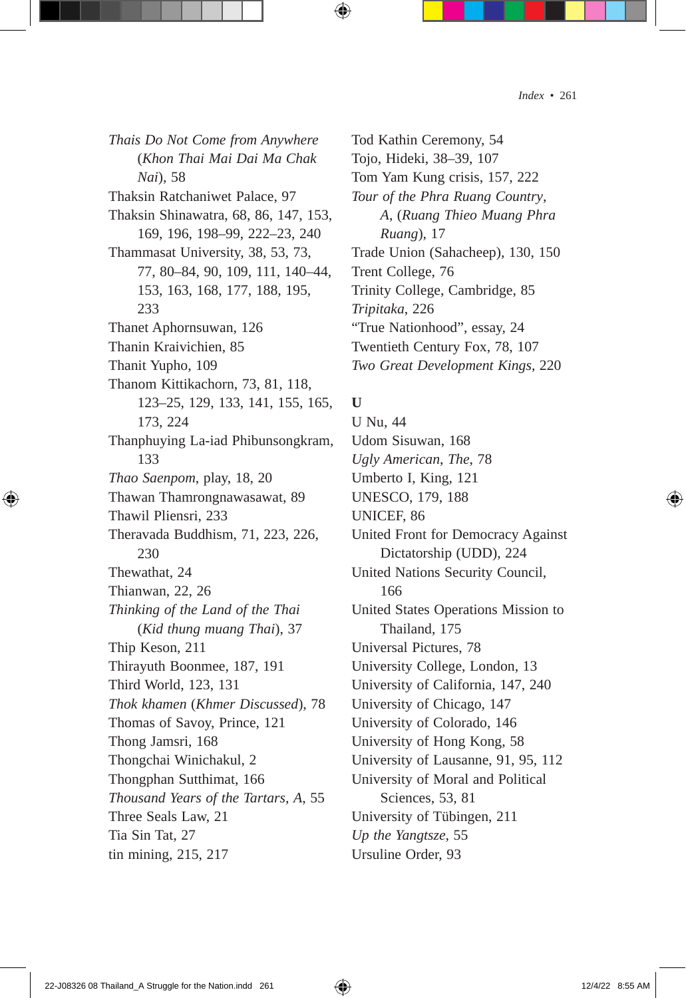*Thais Do Not Come from Anywhere* (*Khon Thai Mai Dai Ma Chak Nai*), 58 Thaksin Ratchaniwet Palace, 97 Thaksin Shinawatra, 68, 86, 147, 153, 169, 196, 198–99, 222–23, 240 Thammasat University, 38, 53, 73, 77, 80–84, 90, 109, 111, 140–44, 153, 163, 168, 177, 188, 195, 233 Thanet Aphornsuwan, 126 Thanin Kraivichien, 85 Thanit Yupho, 109 Thanom Kittikachorn, 73, 81, 118, 123–25, 129, 133, 141, 155, 165, 173, 224 Thanphuying La-iad Phibunsongkram, 133 *Thao Saenpom*, play, 18, 20 Thawan Thamrongnawasawat, 89 Thawil Pliensri, 233 Theravada Buddhism, 71, 223, 226, 230 Thewathat, 24 Thianwan, 22, 26 *Thinking of the Land of the Thai*  (*Kid thung muang Thai*), 37 Thip Keson, 211 Thirayuth Boonmee, 187, 191 Third World, 123, 131 *Thok khamen* (*Khmer Discussed*), 78 Thomas of Savoy, Prince, 121 Thong Jamsri, 168 Thongchai Winichakul, 2 Thongphan Sutthimat, 166 *Thousand Years of the Tartars*, *A*, 55 Three Seals Law, 21 Tia Sin Tat, 27 tin mining, 215, 217

Tod Kathin Ceremony, 54 Tojo, Hideki, 38–39, 107 Tom Yam Kung crisis, 157, 222 *Tour of the Phra Ruang Country*, *A*, (*Ruang Thieo Muang Phra Ruang*), 17 Trade Union (Sahacheep), 130, 150 Trent College, 76 Trinity College, Cambridge, 85 *Tripitaka*, 226 "True Nationhood", essay, 24 Twentieth Century Fox, 78, 107 *Two Great Development Kings*, 220

#### **U**

U Nu, 44 Udom Sisuwan, 168 *Ugly American*, *The*, 78 Umberto I, King, 121 UNESCO, 179, 188 UNICEF, 86 United Front for Democracy Against Dictatorship (UDD), 224 United Nations Security Council, 166 United States Operations Mission to Thailand, 175 Universal Pictures, 78 University College, London, 13 University of California, 147, 240 University of Chicago, 147 University of Colorado, 146 University of Hong Kong, 58 University of Lausanne, 91, 95, 112 University of Moral and Political Sciences, 53, 81 University of Tübingen, 211 *Up the Yangtsze*, 55 Ursuline Order, 93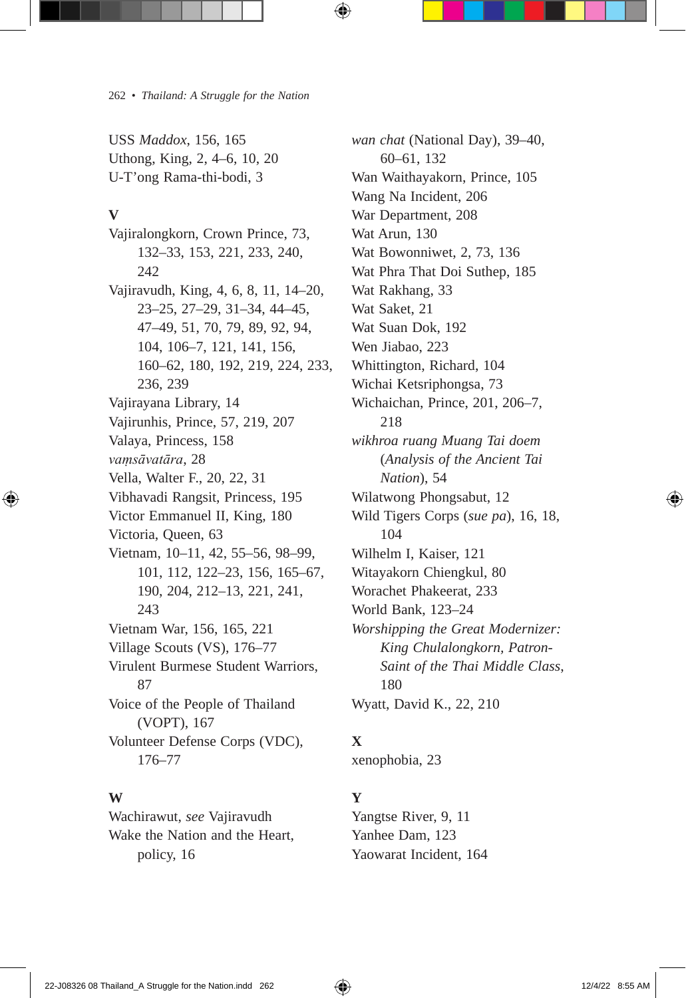USS *Maddox*, 156, 165 Uthong, King, 2, 4–6, 10, 20 U-T'ong Rama-thi-bodi, 3

#### **V**

Vajiralongkorn, Crown Prince, 73, 132–33, 153, 221, 233, 240, 242 Vajiravudh, King, 4, 6, 8, 11, 14–20, 23–25, 27–29, 31–34, 44–45, 47–49, 51, 70, 79, 89, 92, 94, 104, 106–7, 121, 141, 156, 160–62, 180, 192, 219, 224, 233, 236, 239 Vajirayana Library, 14 Vajirunhis, Prince, 57, 219, 207 Valaya, Princess, 158 *vaṃsāvatāra*, 28 Vella, Walter F., 20, 22, 31 Vibhavadi Rangsit, Princess, 195 Victor Emmanuel II, King, 180 Victoria, Queen, 63 Vietnam, 10–11, 42, 55–56, 98–99, 101, 112, 122–23, 156, 165–67, 190, 204, 212–13, 221, 241, 243 Vietnam War, 156, 165, 221 Village Scouts (VS), 176–77 Virulent Burmese Student Warriors, 87 Voice of the People of Thailand (VOPT), 167 Volunteer Defense Corps (VDC), 176–77

#### **W**

Wachirawut, *see* Vajiravudh Wake the Nation and the Heart, policy, 16

*wan chat* (National Day), 39–40, 60–61, 132 Wan Waithayakorn, Prince, 105 Wang Na Incident, 206 War Department, 208 Wat Arun, 130 Wat Bowonniwet, 2, 73, 136 Wat Phra That Doi Suthep, 185 Wat Rakhang, 33 Wat Saket, 21 Wat Suan Dok, 192 Wen Jiabao, 223 Whittington, Richard, 104 Wichai Ketsriphongsa, 73 Wichaichan, Prince, 201, 206–7, 218 *wikhroa ruang Muang Tai doem* (*Analysis of the Ancient Tai Nation*), 54 Wilatwong Phongsabut, 12 Wild Tigers Corps (*sue pa*), 16, 18, 104 Wilhelm I, Kaiser, 121 Witayakorn Chiengkul, 80 Worachet Phakeerat, 233 World Bank, 123–24 *Worshipping the Great Modernizer: King Chulalongkorn, Patron-Saint of the Thai Middle Class*, 180 Wyatt, David K., 22, 210

## **X**

xenophobia, 23

## **Y**

Yangtse River, 9, 11 Yanhee Dam, 123 Yaowarat Incident, 164